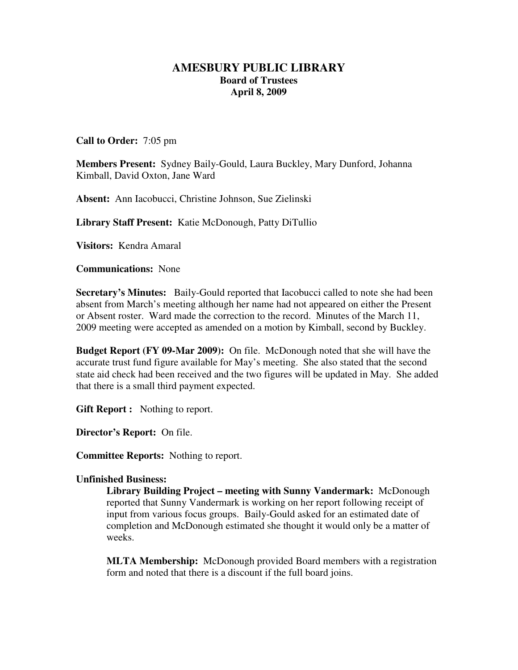## **AMESBURY PUBLIC LIBRARY Board of Trustees April 8, 2009**

## **Call to Order:** 7:05 pm

**Members Present:** Sydney Baily-Gould, Laura Buckley, Mary Dunford, Johanna Kimball, David Oxton, Jane Ward

**Absent:** Ann Iacobucci, Christine Johnson, Sue Zielinski

**Library Staff Present:** Katie McDonough, Patty DiTullio

**Visitors:** Kendra Amaral

**Communications:** None

**Secretary's Minutes:** Baily-Gould reported that Iacobucci called to note she had been absent from March's meeting although her name had not appeared on either the Present or Absent roster. Ward made the correction to the record. Minutes of the March 11, 2009 meeting were accepted as amended on a motion by Kimball, second by Buckley.

**Budget Report (FY 09-Mar 2009):** On file. McDonough noted that she will have the accurate trust fund figure available for May's meeting. She also stated that the second state aid check had been received and the two figures will be updated in May. She added that there is a small third payment expected.

**Gift Report :** Nothing to report.

**Director's Report:** On file.

**Committee Reports:** Nothing to report.

## **Unfinished Business:**

**Library Building Project – meeting with Sunny Vandermark:** McDonough reported that Sunny Vandermark is working on her report following receipt of input from various focus groups. Baily-Gould asked for an estimated date of completion and McDonough estimated she thought it would only be a matter of weeks.

**MLTA Membership:** McDonough provided Board members with a registration form and noted that there is a discount if the full board joins.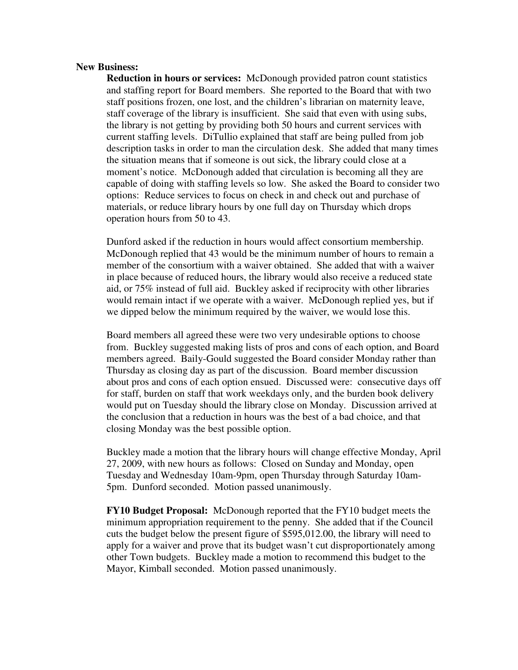## **New Business:**

**Reduction in hours or services:** McDonough provided patron count statistics and staffing report for Board members. She reported to the Board that with two staff positions frozen, one lost, and the children's librarian on maternity leave, staff coverage of the library is insufficient. She said that even with using subs, the library is not getting by providing both 50 hours and current services with current staffing levels. DiTullio explained that staff are being pulled from job description tasks in order to man the circulation desk. She added that many times the situation means that if someone is out sick, the library could close at a moment's notice. McDonough added that circulation is becoming all they are capable of doing with staffing levels so low. She asked the Board to consider two options: Reduce services to focus on check in and check out and purchase of materials, or reduce library hours by one full day on Thursday which drops operation hours from 50 to 43.

Dunford asked if the reduction in hours would affect consortium membership. McDonough replied that 43 would be the minimum number of hours to remain a member of the consortium with a waiver obtained. She added that with a waiver in place because of reduced hours, the library would also receive a reduced state aid, or 75% instead of full aid. Buckley asked if reciprocity with other libraries would remain intact if we operate with a waiver. McDonough replied yes, but if we dipped below the minimum required by the waiver, we would lose this.

Board members all agreed these were two very undesirable options to choose from. Buckley suggested making lists of pros and cons of each option, and Board members agreed. Baily-Gould suggested the Board consider Monday rather than Thursday as closing day as part of the discussion. Board member discussion about pros and cons of each option ensued. Discussed were: consecutive days off for staff, burden on staff that work weekdays only, and the burden book delivery would put on Tuesday should the library close on Monday. Discussion arrived at the conclusion that a reduction in hours was the best of a bad choice, and that closing Monday was the best possible option.

Buckley made a motion that the library hours will change effective Monday, April 27, 2009, with new hours as follows: Closed on Sunday and Monday, open Tuesday and Wednesday 10am-9pm, open Thursday through Saturday 10am-5pm. Dunford seconded. Motion passed unanimously.

**FY10 Budget Proposal:** McDonough reported that the FY10 budget meets the minimum appropriation requirement to the penny. She added that if the Council cuts the budget below the present figure of \$595,012.00, the library will need to apply for a waiver and prove that its budget wasn't cut disproportionately among other Town budgets. Buckley made a motion to recommend this budget to the Mayor, Kimball seconded. Motion passed unanimously.